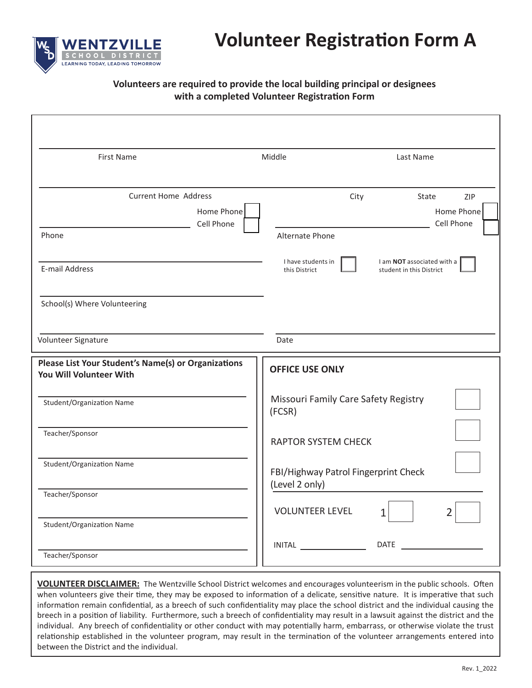

#### **Volunteers are required to provide the local building principal or designees**  with a completed Volunteer Registration Form

| <b>First Name</b>                                                              | Middle<br>Last Name                                                                           |
|--------------------------------------------------------------------------------|-----------------------------------------------------------------------------------------------|
|                                                                                |                                                                                               |
| <b>Current Home Address</b>                                                    | City<br>State<br>ZIP                                                                          |
| Home Phone<br>Cell Phone                                                       | Home Phone<br>Cell Phone                                                                      |
| Phone                                                                          | Alternate Phone                                                                               |
| E-mail Address                                                                 | I have students in<br>I am NOT associated with a<br>this District<br>student in this District |
| School(s) Where Volunteering                                                   |                                                                                               |
| Volunteer Signature                                                            | Date                                                                                          |
| Please List Your Student's Name(s) or Organizations<br>You Will Volunteer With | <b>OFFICE USE ONLY</b>                                                                        |
| Student/Organization Name                                                      | Missouri Family Care Safety Registry<br>(FCSR)                                                |
| Teacher/Sponsor                                                                | <b>RAPTOR SYSTEM CHECK</b>                                                                    |
| Student/Organization Name                                                      | FBI/Highway Patrol Fingerprint Check<br>(Level 2 only)                                        |
| Teacher/Sponsor                                                                |                                                                                               |
| Student/Organization Name                                                      | <b>VOLUNTEER LEVEL</b><br>$\overline{2}$<br>$\mathbf{1}$                                      |
| Teacher/Sponsor                                                                | INTAL                                                                                         |

**VOLUNTEER DISCLAIMER:** The Wentzville School District welcomes and encourages volunteerism in the public schools. Often when volunteers give their time, they may be exposed to information of a delicate, sensitive nature. It is imperative that such information remain confidential, as a breech of such confidentiality may place the school district and the individual causing the breech in a position of liability. Furthermore, such a breech of confidentiality may result in a lawsuit against the district and the individual. Any breech of confidentiality or other conduct with may potentially harm, embarrass, or otherwise violate the trust relationship established in the volunteer program, may result in the termination of the volunteer arrangements entered into between the District and the individual.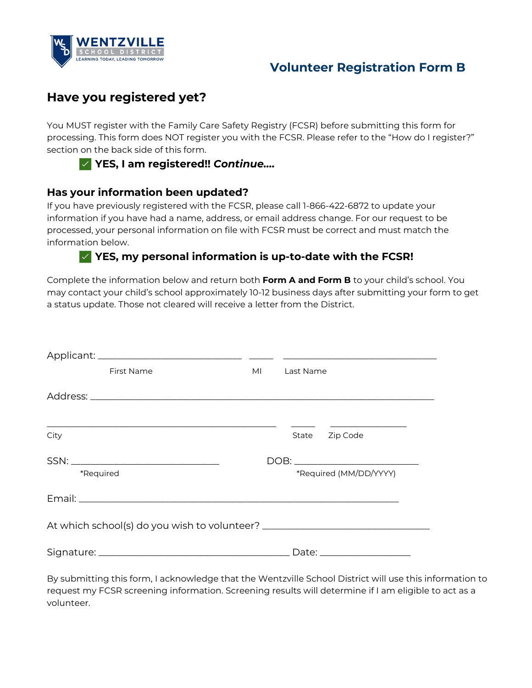

### **Volunteer Registration Form B**

# **Have you registered yet?**

You MUST register with the Family Care Safety Registry (FCSR) before submitting this form for processing. This form does NOT register you with the FCSR. Please refer to the "How do I register?" section on the back side of this form.



#### **Has your information been updated?**

If you have previously registered with the FCSR, please call 1-866-422-6872 to update your information if you have had a name, address, or email address change. For our request to be processed, your personal information on file with FCSR must be correct and must match the information below.

#### ✅ **YES, my personal information is up-to-date with the FCSR!**

Complete the information below and return both **Form A and Form B** to your child's school. You may contact your child's school approximately 10-12 business days after submitting your form to get a status update. Those not cleared will receive a letter from the District.

| First Name | MI | Last Name |                        |  |
|------------|----|-----------|------------------------|--|
|            |    |           |                        |  |
| City       |    | State     | Zip Code               |  |
|            |    |           |                        |  |
| *Required  |    |           | *Required (MM/DD/YYYY) |  |
|            |    |           |                        |  |
|            |    |           |                        |  |
|            |    |           |                        |  |

By submitting this form, I acknowledge that the Wentzville School District will use this information to request my FCSR screening information. Screening results will determine if I am eligible to act as a volunteer.